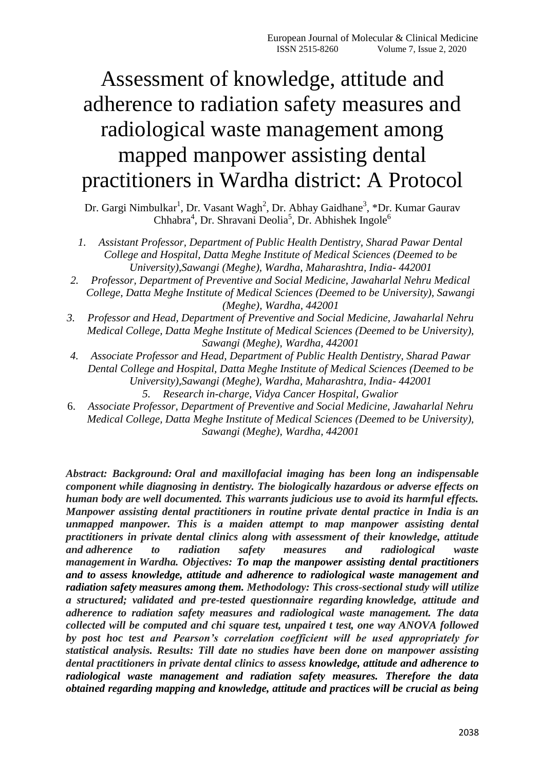# Assessment of knowledge, attitude and adherence to radiation safety measures and radiological waste management among mapped manpower assisting dental practitioners in Wardha district: A Protocol

Dr. Gargi Nimbulkar<sup>1</sup>, Dr. Vasant Wagh<sup>2</sup>, Dr. Abhay Gaidhane<sup>3</sup>, \*Dr. Kumar Gaurav Chhabra<sup>4</sup>, Dr. Shravani Deolia<sup>5</sup>, Dr. Abhishek Ingole<sup>6</sup>

- *1. Assistant Professor, Department of Public Health Dentistry, Sharad Pawar Dental College and Hospital, Datta Meghe Institute of Medical Sciences (Deemed to be University),Sawangi (Meghe), Wardha, Maharashtra, India- 442001*
- *2. Professor, Department of Preventive and Social Medicine, Jawaharlal Nehru Medical College, Datta Meghe Institute of Medical Sciences (Deemed to be University), Sawangi (Meghe), Wardha, 442001*
- *3. Professor and Head, Department of Preventive and Social Medicine, Jawaharlal Nehru Medical College, Datta Meghe Institute of Medical Sciences (Deemed to be University), Sawangi (Meghe), Wardha, 442001*
- *4. Associate Professor and Head, Department of Public Health Dentistry, Sharad Pawar Dental College and Hospital, Datta Meghe Institute of Medical Sciences (Deemed to be University),Sawangi (Meghe), Wardha, Maharashtra, India- 442001*
	- *5. Research in-charge, Vidya Cancer Hospital, Gwalior*
- 6. *Associate Professor, Department of Preventive and Social Medicine, Jawaharlal Nehru Medical College, Datta Meghe Institute of Medical Sciences (Deemed to be University), Sawangi (Meghe), Wardha, 442001*

*Abstract: Background: Oral and maxillofacial imaging has been long an indispensable component while diagnosing in dentistry. The biologically hazardous or adverse effects on human body are well documented. This warrants judicious use to avoid its harmful effects. Manpower assisting dental practitioners in routine private dental practice in India is an unmapped manpower. This is a maiden attempt to map manpower assisting dental practitioners in private dental clinics along with assessment of their knowledge, attitude and adherence to radiation safety measures and radiological waste management in Wardha. Objectives: To map the manpower assisting dental practitioners and to assess knowledge, attitude and adherence to radiological waste management and radiation safety measures among them. Methodology: This cross-sectional study will utilize a structured; validated and pre-tested questionnaire regarding knowledge, attitude and adherence to radiation safety measures and radiological waste management. The data collected will be computed and chi square test, unpaired t test, one way ANOVA followed by post hoc test and Pearson's correlation coefficient will be used appropriately for statistical analysis. Results: Till date no studies have been done on manpower assisting dental practitioners in private dental clinics to assess knowledge, attitude and adherence to radiological waste management and radiation safety measures. Therefore the data obtained regarding mapping and knowledge, attitude and practices will be crucial as being*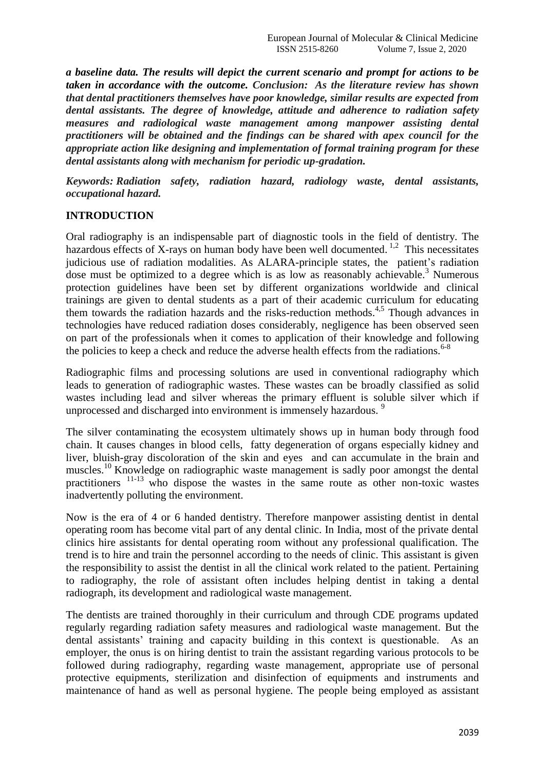*a baseline data. The results will depict the current scenario and prompt for actions to be taken in accordance with the outcome. Conclusion: As the literature review has shown that dental practitioners themselves have poor knowledge, similar results are expected from dental assistants. The degree of knowledge, attitude and adherence to radiation safety measures and radiological waste management among manpower assisting dental practitioners will be obtained and the findings can be shared with apex council for the appropriate action like designing and implementation of formal training program for these dental assistants along with mechanism for periodic up-gradation.*

*Keywords: Radiation safety, radiation hazard, radiology waste, dental assistants, occupational hazard.*

# **INTRODUCTION**

Oral radiography is an indispensable part of diagnostic tools in the field of dentistry. The hazardous effects of X-rays on human body have been well documented.<sup>1,2</sup> This necessitates judicious use of radiation modalities. As ALARA-principle states, the patient's radiation dose must be optimized to a degree which is as low as reasonably achievable.<sup>3</sup> Numerous protection guidelines have been set by different organizations worldwide and clinical trainings are given to dental students as a part of their academic curriculum for educating them towards the radiation hazards and the risks-reduction methods.<sup>4,5</sup> Though advances in technologies have reduced radiation doses considerably, negligence has been observed seen on part of the professionals when it comes to application of their knowledge and following the policies to keep a check and reduce the adverse health effects from the radiations.<sup>6-8</sup>

Radiographic films and processing solutions are used in conventional radiography which leads to generation of radiographic wastes. These wastes can be broadly classified as solid wastes including lead and silver whereas the primary effluent is soluble silver which if unprocessed and discharged into environment is immensely hazardous.<sup>9</sup>

The silver contaminating the ecosystem ultimately shows up in human body through food chain. It causes changes in blood cells, fatty degeneration of organs especially kidney and liver, bluish-gray discoloration of the skin and eyes and can accumulate in the brain and muscles.<sup>10</sup> Knowledge on radiographic waste management is sadly poor amongst the dental practitioners 11-13 who dispose the wastes in the same route as other non-toxic wastes inadvertently polluting the environment.

Now is the era of 4 or 6 handed dentistry. Therefore manpower assisting dentist in dental operating room has become vital part of any dental clinic. In India, most of the private dental clinics hire assistants for dental operating room without any professional qualification. The trend is to hire and train the personnel according to the needs of clinic. This assistant is given the responsibility to assist the dentist in all the clinical work related to the patient. Pertaining to radiography, the role of assistant often includes helping dentist in taking a dental radiograph, its development and radiological waste management.

The dentists are trained thoroughly in their curriculum and through CDE programs updated regularly regarding radiation safety measures and radiological waste management. But the dental assistants' training and capacity building in this context is questionable. As an employer, the onus is on hiring dentist to train the assistant regarding various protocols to be followed during radiography, regarding waste management, appropriate use of personal protective equipments, sterilization and disinfection of equipments and instruments and maintenance of hand as well as personal hygiene. The people being employed as assistant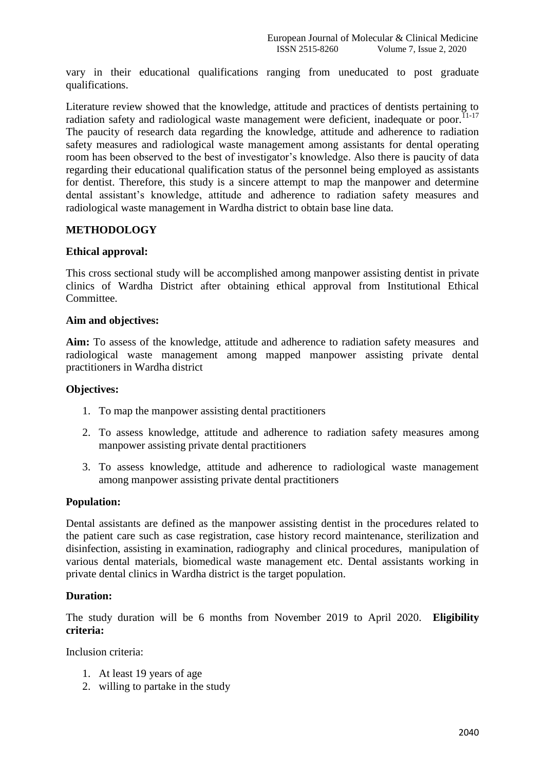vary in their educational qualifications ranging from uneducated to post graduate qualifications.

Literature review showed that the knowledge, attitude and practices of dentists pertaining to radiation safety and radiological waste management were deficient, inadequate or poor. $^{11-17}$ The paucity of research data regarding the knowledge, attitude and adherence to radiation safety measures and radiological waste management among assistants for dental operating room has been observed to the best of investigator's knowledge. Also there is paucity of data regarding their educational qualification status of the personnel being employed as assistants for dentist. Therefore, this study is a sincere attempt to map the manpower and determine dental assistant's knowledge, attitude and adherence to radiation safety measures and radiological waste management in Wardha district to obtain base line data.

# **METHODOLOGY**

#### **Ethical approval:**

This cross sectional study will be accomplished among manpower assisting dentist in private clinics of Wardha District after obtaining ethical approval from Institutional Ethical Committee.

#### **Aim and objectives:**

**Aim:** To assess of the knowledge, attitude and adherence to radiation safety measures and radiological waste management among mapped manpower assisting private dental practitioners in Wardha district

#### **Objectives:**

- 1. To map the manpower assisting dental practitioners
- 2. To assess knowledge, attitude and adherence to radiation safety measures among manpower assisting private dental practitioners
- 3. To assess knowledge, attitude and adherence to radiological waste management among manpower assisting private dental practitioners

# **Population:**

Dental assistants are defined as the manpower assisting dentist in the procedures related to the patient care such as case registration, case history record maintenance, sterilization and disinfection, assisting in examination, radiography and clinical procedures, manipulation of various dental materials, biomedical waste management etc. Dental assistants working in private dental clinics in Wardha district is the target population.

#### **Duration:**

The study duration will be 6 months from November 2019 to April 2020. **Eligibility criteria:**

Inclusion criteria:

- 1. At least 19 years of age
- 2. willing to partake in the study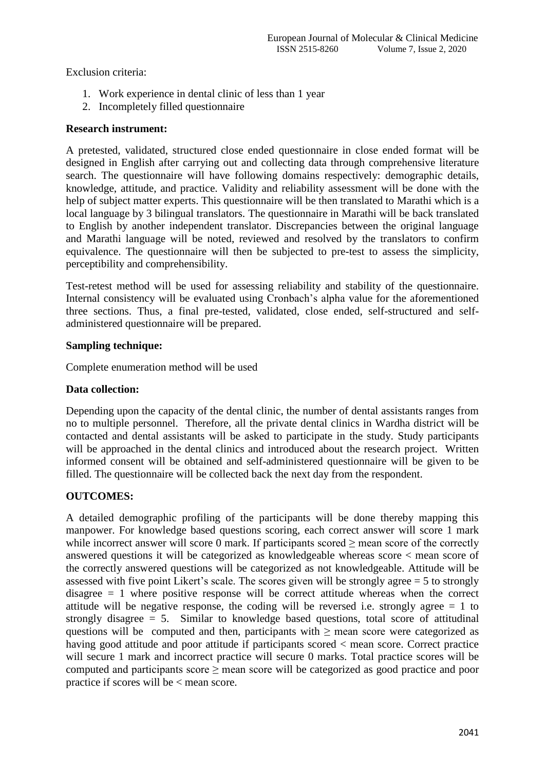Exclusion criteria:

- 1. Work experience in dental clinic of less than 1 year
- 2. Incompletely filled questionnaire

# **Research instrument:**

A pretested, validated, structured close ended questionnaire in close ended format will be designed in English after carrying out and collecting data through comprehensive literature search. The questionnaire will have following domains respectively: demographic details, knowledge, attitude, and practice. Validity and reliability assessment will be done with the help of subject matter experts. This questionnaire will be then translated to Marathi which is a local language by 3 bilingual translators. The questionnaire in Marathi will be back translated to English by another independent translator. Discrepancies between the original language and Marathi language will be noted, reviewed and resolved by the translators to confirm equivalence. The questionnaire will then be subjected to pre-test to assess the simplicity, perceptibility and comprehensibility.

Test-retest method will be used for assessing reliability and stability of the questionnaire. Internal consistency will be evaluated using Cronbach's alpha value for the aforementioned three sections. Thus, a final pre-tested, validated, close ended, self-structured and selfadministered questionnaire will be prepared.

# **Sampling technique:**

Complete enumeration method will be used

# **Data collection:**

Depending upon the capacity of the dental clinic, the number of dental assistants ranges from no to multiple personnel. Therefore, all the private dental clinics in Wardha district will be contacted and dental assistants will be asked to participate in the study. Study participants will be approached in the dental clinics and introduced about the research project. Written informed consent will be obtained and self-administered questionnaire will be given to be filled. The questionnaire will be collected back the next day from the respondent.

# **OUTCOMES:**

A detailed demographic profiling of the participants will be done thereby mapping this manpower. For knowledge based questions scoring, each correct answer will score 1 mark while incorrect answer will score 0 mark. If participants scored  $\geq$  mean score of the correctly answered questions it will be categorized as knowledgeable whereas score < mean score of the correctly answered questions will be categorized as not knowledgeable. Attitude will be assessed with five point Likert's scale. The scores given will be strongly agree  $= 5$  to strongly disagree  $= 1$  where positive response will be correct attitude whereas when the correct attitude will be negative response, the coding will be reversed i.e. strongly agree = 1 to strongly disagree = 5. Similar to knowledge based questions, total score of attitudinal questions will be computed and then, participants with  $\geq$  mean score were categorized as having good attitude and poor attitude if participants scored  $\lt$  mean score. Correct practice will secure 1 mark and incorrect practice will secure 0 marks. Total practice scores will be computed and participants score  $\geq$  mean score will be categorized as good practice and poor practice if scores will be < mean score.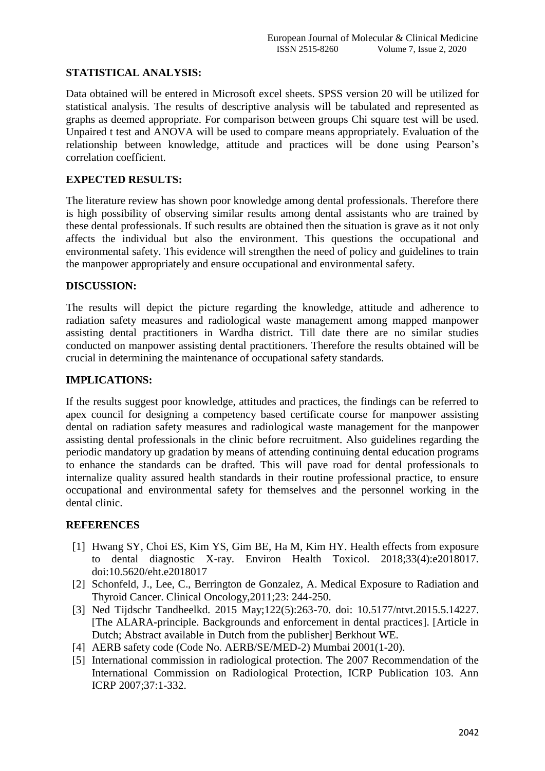# **STATISTICAL ANALYSIS:**

Data obtained will be entered in Microsoft excel sheets. SPSS version 20 will be utilized for statistical analysis. The results of descriptive analysis will be tabulated and represented as graphs as deemed appropriate. For comparison between groups Chi square test will be used. Unpaired t test and ANOVA will be used to compare means appropriately. Evaluation of the relationship between knowledge, attitude and practices will be done using Pearson's correlation coefficient.

# **EXPECTED RESULTS:**

The literature review has shown poor knowledge among dental professionals. Therefore there is high possibility of observing similar results among dental assistants who are trained by these dental professionals. If such results are obtained then the situation is grave as it not only affects the individual but also the environment. This questions the occupational and environmental safety. This evidence will strengthen the need of policy and guidelines to train the manpower appropriately and ensure occupational and environmental safety.

# **DISCUSSION:**

The results will depict the picture regarding the knowledge, attitude and adherence to radiation safety measures and radiological waste management among mapped manpower assisting dental practitioners in Wardha district. Till date there are no similar studies conducted on manpower assisting dental practitioners. Therefore the results obtained will be crucial in determining the maintenance of occupational safety standards.

#### **IMPLICATIONS:**

If the results suggest poor knowledge, attitudes and practices, the findings can be referred to apex council for designing a competency based certificate course for manpower assisting dental on radiation safety measures and radiological waste management for the manpower assisting dental professionals in the clinic before recruitment. Also guidelines regarding the periodic mandatory up gradation by means of attending continuing dental education programs to enhance the standards can be drafted. This will pave road for dental professionals to internalize quality assured health standards in their routine professional practice, to ensure occupational and environmental safety for themselves and the personnel working in the dental clinic.

# **REFERENCES**

- [1] Hwang SY, Choi ES, Kim YS, Gim BE, Ha M, Kim HY. Health effects from exposure to dental diagnostic X-ray. Environ Health Toxicol. 2018;33(4):e2018017. doi:10.5620/eht.e2018017
- [2] Schonfeld, J., Lee, C., Berrington de Gonzalez, A. Medical Exposure to Radiation and Thyroid Cancer. Clinical Oncology,2011;23: 244-250.
- [3] Ned Tijdschr Tandheelkd. 2015 May;122(5):263-70. doi: 10.5177/ntvt.2015.5.14227. [The ALARA-principle. Backgrounds and enforcement in dental practices]. [Article in Dutch; Abstract available in Dutch from the publisher] Berkhout WE.
- [4] AERB safety code (Code No. AERB/SE/MED-2) Mumbai 2001(1-20).
- [5] International commission in radiological protection. The 2007 Recommendation of the International Commission on Radiological Protection, ICRP Publication 103. Ann ICRP 2007;37:1-332.